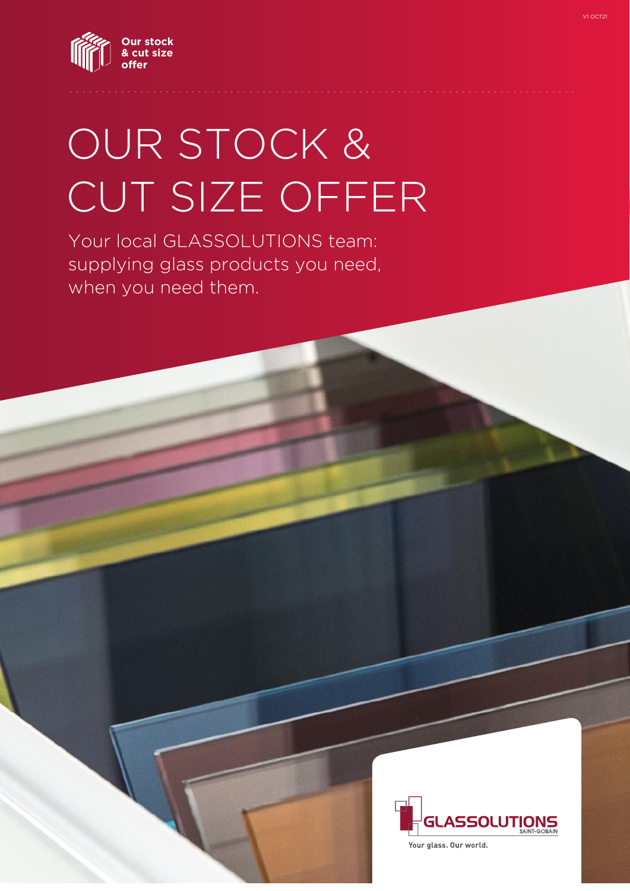

# OUR STOCK & CUT SIZE OFFER

Your local GLASSOLUTIONS team: supplying glass products you need, when you need them.



Your glass. Our world.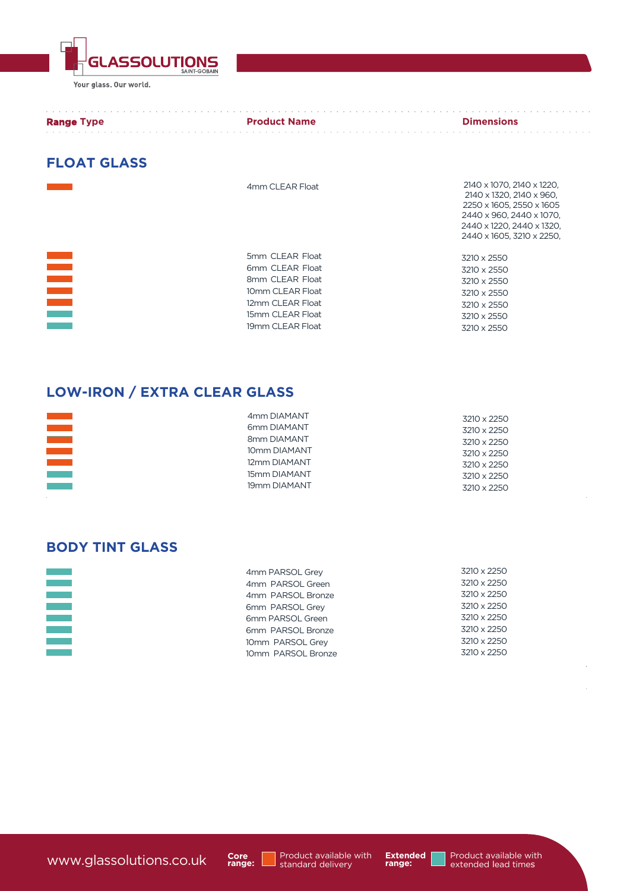**GLASSOLUTIONS** Your glass. Our world.

| <b>Range Type</b> | <b>Product Name</b> | <b>Dimensions</b> |
|-------------------|---------------------|-------------------|
|                   |                     |                   |

#### **FLOAT GLASS**

|                                               | 4mm CLEAR Float                                                                                                                       | 2140 x 1070, 2140 x 1220,<br>2140 x 1320, 2140 x 960.<br>2250 x 1605, 2550 x 1605<br>2440 x 960, 2440 x 1070,<br>2440 x 1220, 2440 x 1320,<br>2440 x 1605, 3210 x 2250, |
|-----------------------------------------------|---------------------------------------------------------------------------------------------------------------------------------------|-------------------------------------------------------------------------------------------------------------------------------------------------------------------------|
| $\sim 10^{11}$ m $^{-1}$<br><b>The Common</b> | 5mm CLEAR Float<br>6mm CLEAR Float<br>8mm CLEAR Float<br>10mm CLEAR Float<br>12mm CLEAR Float<br>15mm CLEAR Float<br>19mm CLEAR Float | 3210 x 2550<br>3210 x 2550<br>3210 x 2550<br>3210 x 2550<br>3210 x 2550<br>3210 x 2550<br>3210 x 2550                                                                   |

# **LOW-IRON / EXTRA CLEAR GLASS**

| <b>Contract Contract</b><br><b>Contract Contract</b><br><b>The Company</b><br><b>Contract Contract</b><br><b>Contract Contract</b> | 4mm DIAMANT<br>6mm DIAMANT<br>8mm DIAMANT<br>10mm DIAMANT<br>12mm DIAMANT<br>15mm DIAMANT<br>19mm DIAMANT | 3210 x 2250<br>3210 x 2250<br>3210 x 2250<br>3210 x 2250<br>3210 x 2250<br>3210 x 2250 |
|------------------------------------------------------------------------------------------------------------------------------------|-----------------------------------------------------------------------------------------------------------|----------------------------------------------------------------------------------------|
|                                                                                                                                    |                                                                                                           | 3210 x 2250                                                                            |

# **BODY TINT GLASS**

İ

| 4mm PARSOL Grey    | 3210 x 2250 |
|--------------------|-------------|
| 4mm PARSOL Green   | 3210 x 2250 |
| 4mm PARSOL Bronze  | 3210 x 2250 |
| 6mm PARSOL Grey    | 3210 x 2250 |
| 6mm PARSOL Green   | 3210 x 2250 |
| 6mm PARSOL Bronze  | 3210 x 2250 |
| 10mm PARSOL Grey   | 3210 x 2250 |
| 10mm PARSOL Bronze | 3210 x 2250 |



Product available with<br>standard delivery

**Extended range:**

 $\hat{z}$  ,  $\hat{z}$  ,  $\hat{z}$  $\mathcal{L}^{\pm}$  ,  $\mathcal{L}^{\pm}$  ,  $\mathcal{L}^{\pm}$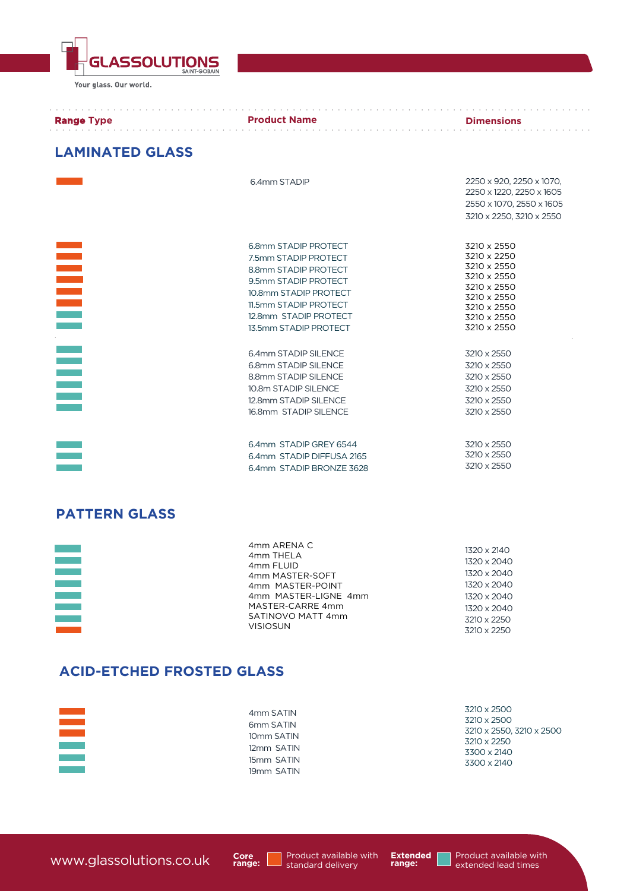Your glass. Our world.

**GLASSOLUTIONS** 

| <b>Range Type</b>      | <b>Example 2 Product Name</b><br>de la caractería de la caractería de la caractería                                                                                                              | <b>Example 12 Dimensions</b>                                                                                                        |
|------------------------|--------------------------------------------------------------------------------------------------------------------------------------------------------------------------------------------------|-------------------------------------------------------------------------------------------------------------------------------------|
| <b>LAMINATED GLASS</b> |                                                                                                                                                                                                  |                                                                                                                                     |
|                        | 6.4mm STADIP                                                                                                                                                                                     | 2250 x 920, 2250 x 1070,<br>2250 x 1220, 2250 x 1605<br>2550 x 1070, 2550 x 1605<br>3210 x 2250, 3210 x 2550                        |
| $\equiv$               | 6.8mm STADIP PROTECT<br>7.5mm STADIP PROTECT<br>8.8mm STADIP PROTECT<br>9.5mm STADIP PROTECT<br>10.8mm STADIP PROTECT<br>11.5mm STADIP PROTECT<br>12.8mm STADIP PROTECT<br>13.5mm STADIP PROTECT | 3210 x 2550<br>3210 x 2250<br>3210 x 2550<br>3210 x 2550<br>3210 x 2550<br>3210 x 2550<br>3210 x 2550<br>3210 x 2550<br>3210 x 2550 |
|                        | 6.4mm STADIP SILENCE<br>6.8mm STADIP SILENCE<br>8.8mm STADIP SILENCE<br>10.8m STADIP SILENCE<br>12.8mm STADIP SILENCE<br>16.8mm STADIP SILENCE                                                   | 3210 x 2550<br>3210 x 2550<br>3210 x 2550<br>3210 x 2550<br>3210 x 2550<br>3210 x 2550                                              |
|                        | 6.4mm STADIP GREY 6544<br>6.4mm STADIP DIFFUSA 2165<br>6.4mm STADIP BRONZE 3628                                                                                                                  | 3210 x 2550<br>3210 x 2550<br>3210 x 2550                                                                                           |

#### **PATTERN GLASS**

|                        | 4mm ARENA C          | 1320 x 2140 |
|------------------------|----------------------|-------------|
|                        | 4mm THELA            |             |
|                        | 4mm FLUID            | 1320 x 2040 |
|                        | 4mm MASTER-SOFT      | 1320 x 2040 |
|                        | 4mm MASTER-POINT     | 1320 x 2040 |
|                        | 4mm MASTER-LIGNE 4mm | 1320 x 2040 |
|                        | MASTER-CARRE 4mm     | 1320 x 2040 |
| <b>Service Service</b> | SATINOVO MATT 4mm    | 3210 x 2250 |
|                        | <b>VISIOSUN</b>      | 3210 x 2250 |

#### **ACID-ETCHED FROSTED GLASS**

| $\mathcal{L}_{\text{max}}$ and $\mathcal{L}_{\text{max}}$<br>6mm SATIN<br>$\mathcal{L}^{\text{max}}_{\text{max}}$ and $\mathcal{L}^{\text{max}}_{\text{max}}$<br>10mm SATIN<br>12mm SATIN<br>15mm SATIN<br>19mm SATIN | 3210 x 2500<br>3210 x 2550, 3210 x 2500<br>3210 x 2250<br>3300 x 2140<br>3300 x 2140 |
|-----------------------------------------------------------------------------------------------------------------------------------------------------------------------------------------------------------------------|--------------------------------------------------------------------------------------|
|-----------------------------------------------------------------------------------------------------------------------------------------------------------------------------------------------------------------------|--------------------------------------------------------------------------------------|

**Core range:**

Product available with<br>Standard delivery

**Extended range:**

 $\epsilon$  ,  $\epsilon$  ,  $\epsilon$  $\alpha$  ,  $\alpha$  ,  $\alpha$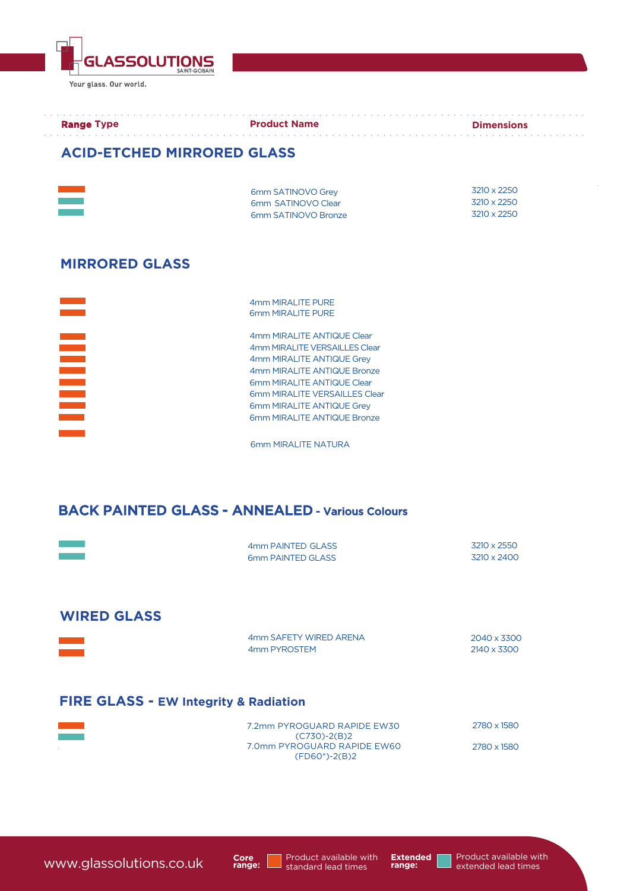ASSOLUTIONS Your glass. Our world.

| 6mm SATINOVO Grev   | 3210 x 2250 |
|---------------------|-------------|
| 6mm SATINOVO Clear  | 3210 x 2250 |
| 6mm SATINOVO Bronze | 3210 x 2250 |

### **MIRRORED GLASS**



4mm MIRALITE PURE 6mm MIRALITE PURE

4mm MIRALITE ANTIQUE Clear 4mm MIRALITE VERSAILLES Clear 4mm MIRALITE ANTIQUE Grey 4mm MIRALITE ANTIQUE Bronze 6mm MIRALITE ANTIQUE Clear 6mm MIRALITE VERSAILLES Clear 6mm MIRALITE ANTIQUE Grey 6mm MIRALITE ANTIQUE Bronze

6mm MIRALITE NATURA

# BACK PAINTED GLASS - ANNEALED - Various Colours

|                                                  | 4mm PAINTED GLASS<br>6mm PAINTED GLASS                            | 3210 x 2550<br>3210 x 2400 |
|--------------------------------------------------|-------------------------------------------------------------------|----------------------------|
| <b>WIRED GLASS</b>                               |                                                                   |                            |
| <b>Contract</b>                                  | 4mm SAFETY WIRED ARENA<br>4mm PYROSTEM                            | 2040 x 3300<br>2140 x 3300 |
| <b>FIRE GLASS - EW Integrity &amp; Radiation</b> |                                                                   |                            |
|                                                  | 7.2mm PYROGUARD RAPIDE EW30                                       | 2780 x 1580                |
|                                                  | $(C730)-2(B)2$<br>7.0mm PYROGUARD RAPIDE EW60<br>$(FD60^*)-2(B)2$ | 2780 x 1580                |

www.glassolutions.co.uk

**Core range:**

Product available with standard lead times

**Extended range:**

Product available with extended lead times